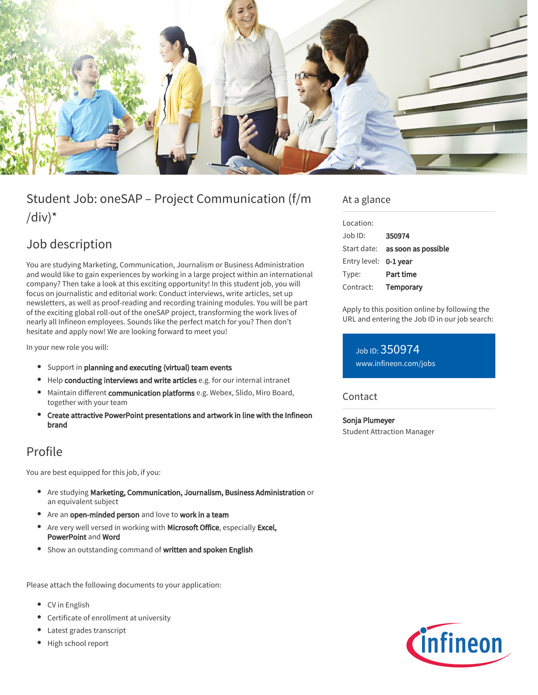

# Student Job: oneSAP – Project Communication (f/m /div) $*$

## Job description

You are studying Marketing, Communication, Journalism or Business Administration and would like to gain experiences by working in a large project within an international company? Then take a look at this exciting opportunity! In this student job, you will focus on journalistic and editorial work: Conduct interviews, write articles, set up newsletters, as well as proof-reading and recording training modules. You will be part of the exciting global roll-out of the oneSAP project, transforming the work lives of nearly all Infineon employees. Sounds like the perfect match for you? Then don't hesitate and apply now! We are looking forward to meet you!

In your new role you will:

- Support in planning and executing (virtual) team events
- Help conducting interviews and write articles e.g. for our internal intranet
- $\bullet$  Maintain different communication platforms e.g. Webex, Slido, Miro Board, together with your team
- Create attractive PowerPoint presentations and artwork in line with the Infineon brand

### Profile

You are best equipped for this job, if you:

- Are studying Marketing, Communication, Journalism, Business Administration or an equivalent subject
- Are an open-minded person and love to work in a team
- Are very well versed in working with Microsoft Office, especially Excel, PowerPoint and Word
- Show an outstanding command of written and spoken English

Please attach the following documents to your application:

- CV in English
- Certificate of enrollment at university
- Latest grades transcript
- High school report

### At a glance

| Location:    |                     |
|--------------|---------------------|
| Job ID:      | 350974              |
| Start date:  | as soon as possible |
| Entry level: | 0-1 year            |
| Type:        | Part time           |
| Contract:    | Temporary           |
|              |                     |

Apply to this position online by following the URL and entering the Job ID in our job search:

Job ID: 350974 [www.infineon.com/jobs](https://www.infineon.com/jobs)

#### Contact

Sonja Plumeyer Student Attraction Manager